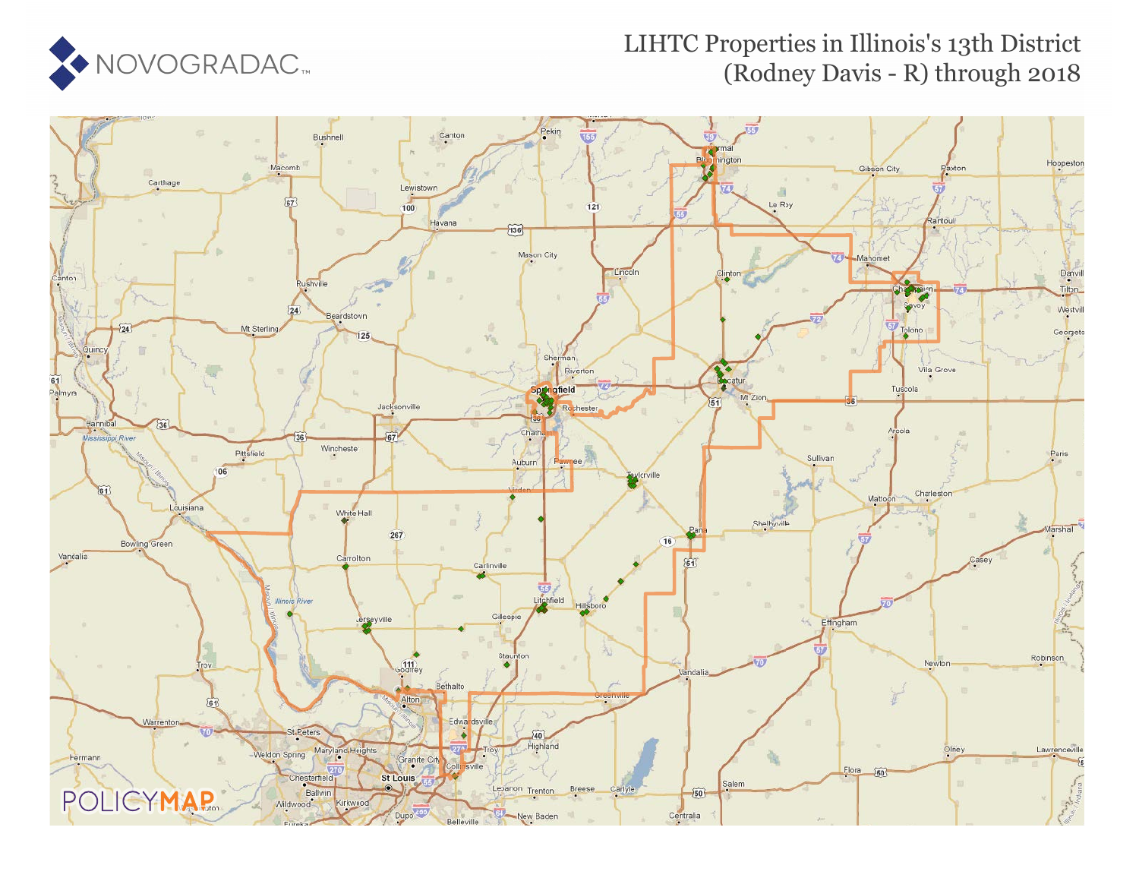

#### LIHTC Properties in Illinois's 13th District (Rodney Davis - R) through 2018

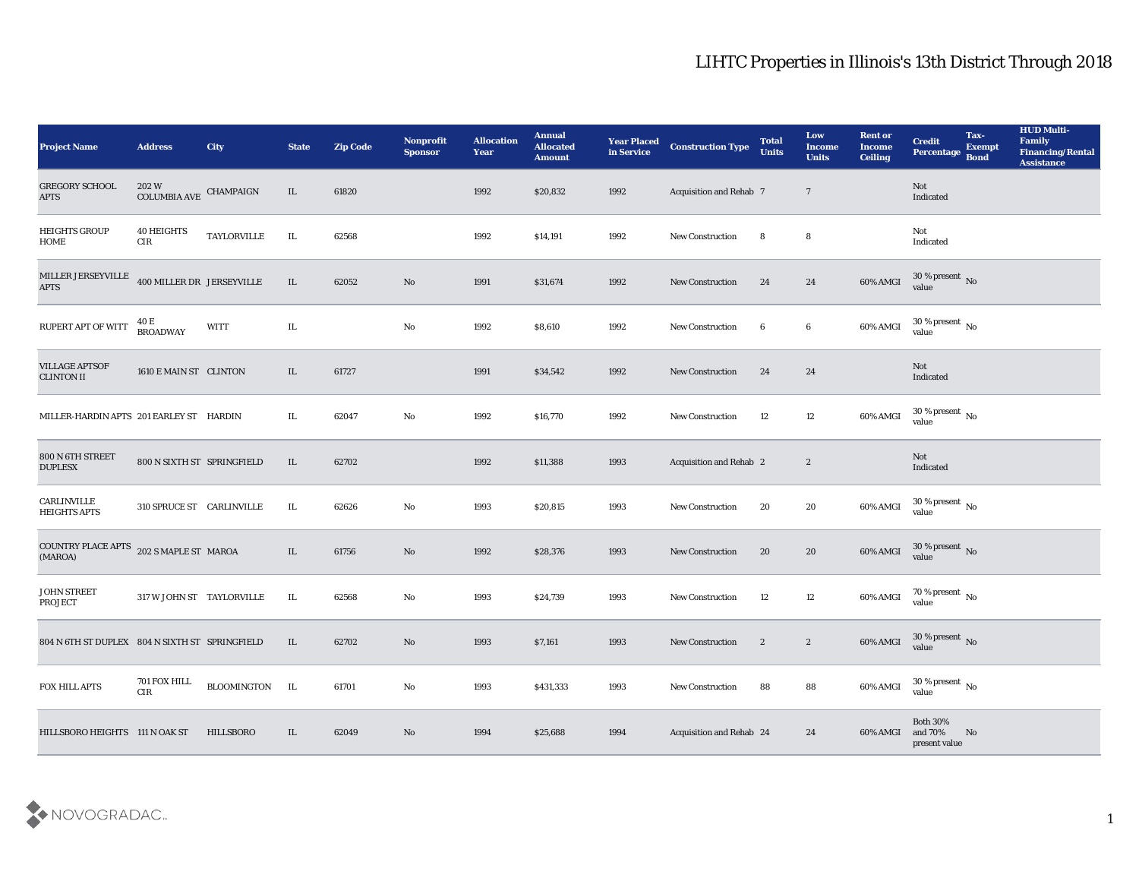| <b>Project Name</b>                            | <b>Address</b>                  | City               | <b>State</b> | <b>Zip Code</b> | Nonprofit<br><b>Sponsor</b> | <b>Allocation</b><br><b>Year</b> | <b>Annual</b><br><b>Allocated</b><br><b>Amount</b> | <b>Year Placed</b><br>in Service | <b>Construction Type</b>       | <b>Total</b><br><b>Units</b> | Low<br><b>Income</b><br><b>Units</b> | <b>Rent or</b><br><b>Income</b><br><b>Ceiling</b> | <b>Credit</b><br>Percentage Bond           | Tax-<br><b>Exempt</b> | <b>HUD Multi-</b><br>Family<br><b>Financing/Rental</b><br><b>Assistance</b> |
|------------------------------------------------|---------------------------------|--------------------|--------------|-----------------|-----------------------------|----------------------------------|----------------------------------------------------|----------------------------------|--------------------------------|------------------------------|--------------------------------------|---------------------------------------------------|--------------------------------------------|-----------------------|-----------------------------------------------------------------------------|
| <b>GREGORY SCHOOL</b><br><b>APTS</b>           | 202 W<br>COLUMBIA AVE CHAMPAIGN |                    | IL           | 61820           |                             | 1992                             | \$20,832                                           | 1992                             | <b>Acquisition and Rehab 7</b> |                              | $7\phantom{.0}$                      |                                                   | Not<br>Indicated                           |                       |                                                                             |
| <b>HEIGHTS GROUP</b><br>HOME                   | <b>40 HEIGHTS</b><br>CIR        | <b>TAYLORVILLE</b> | IL           | 62568           |                             | 1992                             | \$14,191                                           | 1992                             | <b>New Construction</b>        | 8                            | 8                                    |                                                   | Not<br>Indicated                           |                       |                                                                             |
| MILLER JERSEYVILLE<br><b>APTS</b>              | 400 MILLER DR JERSEYVILLE       |                    | $\rm IL$     | 62052           | $\rm\thinspace No$          | 1991                             | \$31,674                                           | 1992                             | <b>New Construction</b>        | 24                           | 24                                   | 60% AMGI                                          | $30\,\%$ present $\,$ No value             |                       |                                                                             |
| RUPERT APT OF WITT                             | 40 E<br><b>BROADWAY</b>         | <b>WITT</b>        | IL           |                 | No                          | 1992                             | \$8,610                                            | 1992                             | <b>New Construction</b>        | 6                            | 6                                    | 60% AMGI                                          | $30\,\%$ present $\,$ No value             |                       |                                                                             |
| <b>VILLAGE APTSOF</b><br><b>CLINTON II</b>     | 1610 E MAIN ST CLINTON          |                    | IL           | 61727           |                             | 1991                             | \$34,542                                           | 1992                             | <b>New Construction</b>        | 24                           | 24                                   |                                                   | Not<br>Indicated                           |                       |                                                                             |
| MILLER-HARDIN APTS 201 EARLEY ST HARDIN        |                                 |                    | IL           | 62047           | No                          | 1992                             | \$16,770                                           | 1992                             | <b>New Construction</b>        | 12                           | 12                                   | 60% AMGI                                          | $30\,\%$ present $\,$ No value             |                       |                                                                             |
| 800 N 6TH STREET<br><b>DUPLESX</b>             | 800 N SIXTH ST SPRINGFIELD      |                    | IL           | 62702           |                             | 1992                             | \$11,388                                           | 1993                             | Acquisition and Rehab 2        |                              | $\mathbf{2}$                         |                                                   | Not<br>Indicated                           |                       |                                                                             |
| CARLINVILLE<br><b>HEIGHTS APTS</b>             | 310 SPRUCE ST CARLINVILLE       |                    | IL           | 62626           | No                          | 1993                             | \$20,815                                           | 1993                             | <b>New Construction</b>        | 20                           | 20                                   | 60% AMGI                                          | 30 % present $\,$ No $\,$<br>value         |                       |                                                                             |
| COUNTRY PLACE APTS<br>(MAROA)                  | 202 S MAPLE ST MAROA            |                    | IL           | 61756           | No                          | 1992                             | \$28,376                                           | 1993                             | <b>New Construction</b>        | 20                           | 20                                   | 60% AMGI                                          | $30\,\%$ present $\,$ No value             |                       |                                                                             |
| <b>JOHN STREET</b><br><b>PROJECT</b>           | 317 W JOHN ST TAYLORVILLE       |                    | IL           | 62568           | No                          | 1993                             | \$24,739                                           | 1993                             | <b>New Construction</b>        | 12                           | 12                                   | 60% AMGI                                          | $70\,\%$ present $\,$ No value             |                       |                                                                             |
| 804 N 6TH ST DUPLEX 804 N SIXTH ST SPRINGFIELD |                                 |                    | IL           | 62702           | No                          | 1993                             | \$7,161                                            | 1993                             | <b>New Construction</b>        | $\boldsymbol{2}$             | $\mathbf{2}$                         | 60% AMGI                                          | $30\,\%$ present $\,$ No $\,$<br>value     |                       |                                                                             |
| FOX HILL APTS                                  | 701 FOX HILL<br>$\rm CIR$       | BLOOMINGTON IL     |              | 61701           | $\rm\, No$                  | 1993                             | \$431,333                                          | 1993                             | <b>New Construction</b>        | 88                           | ${\bf 88}$                           | 60% AMGI                                          | $30\,\%$ present $\,$ No value             |                       |                                                                             |
| HILLSBORO HEIGHTS 111 N OAK ST                 |                                 | <b>HILLSBORO</b>   | IL           | 62049           | $\rm\thinspace No$          | 1994                             | \$25,688                                           | 1994                             | Acquisition and Rehab 24       |                              | 24                                   | 60% AMGI                                          | Both $30\%$<br>and $70\%$<br>present value | No                    |                                                                             |

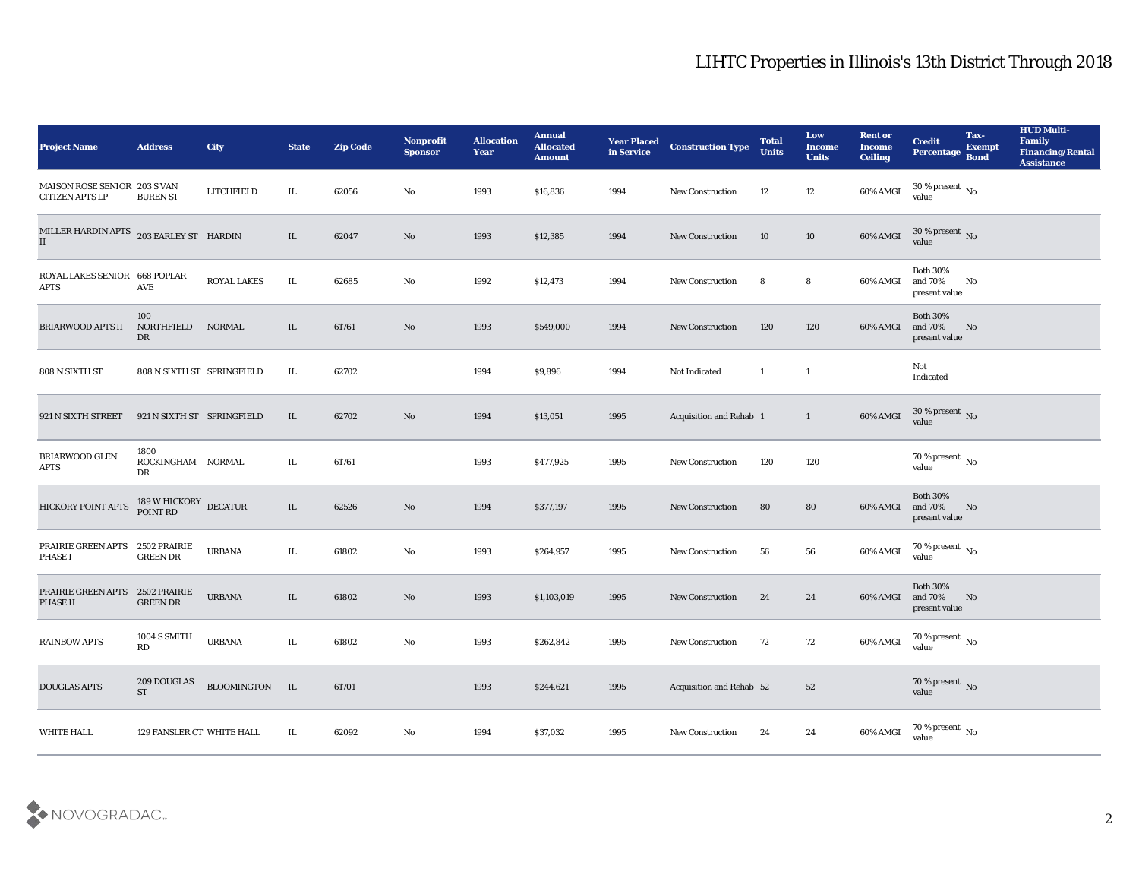| <b>Project Name</b>                                    | <b>Address</b>                              | <b>City</b>                  | <b>State</b> | <b>Zip Code</b> | Nonprofit<br><b>Sponsor</b> | <b>Allocation</b><br><b>Year</b> | <b>Annual</b><br><b>Allocated</b><br><b>Amount</b> | <b>Year Placed</b><br>in Service | <b>Construction Type</b> | <b>Total</b><br><b>Units</b> | Low<br><b>Income</b><br><b>Units</b> | <b>Rent or</b><br><b>Income</b><br><b>Ceiling</b> | <b>Credit</b><br>Percentage                 | Tax-<br><b>Exempt</b><br><b>Bond</b> | <b>HUD Multi-</b><br>Family<br><b>Financing/Rental</b><br><b>Assistance</b> |
|--------------------------------------------------------|---------------------------------------------|------------------------------|--------------|-----------------|-----------------------------|----------------------------------|----------------------------------------------------|----------------------------------|--------------------------|------------------------------|--------------------------------------|---------------------------------------------------|---------------------------------------------|--------------------------------------|-----------------------------------------------------------------------------|
| MAISON ROSE SENIOR 203 S VAN<br><b>CITIZEN APTS LP</b> | <b>BUREN ST</b>                             | LITCHFIELD                   | IL.          | 62056           | No                          | 1993                             | \$16,836                                           | 1994                             | <b>New Construction</b>  | 12                           | 12                                   | 60% AMGI                                          | 30 % present $\,$ No $\,$<br>value          |                                      |                                                                             |
| MILLER HARDIN APTS 203 EARLEY ST HARDIN<br>II          |                                             |                              | IL           | 62047           | No                          | 1993                             | \$12,385                                           | 1994                             | <b>New Construction</b>  | 10                           | 10                                   | 60% AMGI                                          | $30\%$ present No<br>value                  |                                      |                                                                             |
| ROYAL LAKES SENIOR 668 POPLAR<br><b>APTS</b>           | AVE                                         | <b>ROYAL LAKES</b>           | IL           | 62685           | No                          | 1992                             | \$12,473                                           | 1994                             | <b>New Construction</b>  | 8                            | 8                                    | 60% AMGI                                          | <b>Both 30%</b><br>and 70%<br>present value | No                                   |                                                                             |
| <b>BRIARWOOD APTS II</b>                               | 100<br>NORTHFIELD<br>DR                     | <b>NORMAL</b>                | IL           | 61761           | No                          | 1993                             | \$549,000                                          | 1994                             | <b>New Construction</b>  | 120                          | 120                                  | 60% AMGI                                          | <b>Both 30%</b><br>and 70%<br>present value | No                                   |                                                                             |
| 808 N SIXTH ST                                         | 808 N SIXTH ST SPRINGFIELD                  |                              | IL           | 62702           |                             | 1994                             | \$9,896                                            | 1994                             | Not Indicated            | $\mathbf{1}$                 | $\mathbf{1}$                         |                                                   | Not<br>Indicated                            |                                      |                                                                             |
| 921 N SIXTH STREET                                     | 921 N SIXTH ST SPRINGFIELD                  |                              | IL.          | 62702           | No                          | 1994                             | \$13,051                                           | 1995                             | Acquisition and Rehab 1  |                              | $\mathbf{1}$                         | 60% AMGI                                          | $30\,\%$ present $\,$ No value              |                                      |                                                                             |
| <b>BRIARWOOD GLEN</b><br><b>APTS</b>                   | 1800<br>ROCKINGHAM NORMAL<br>DR             |                              | IL.          | 61761           |                             | 1993                             | \$477,925                                          | 1995                             | <b>New Construction</b>  | 120                          | 120                                  |                                                   | 70 % present $\,$ No $\,$<br>value          |                                      |                                                                             |
| <b>HICKORY POINT APTS</b>                              | $189\text{ W HICKORY} \over \text{DECATUR}$ |                              | IL           | 62526           | No                          | 1994                             | \$377,197                                          | 1995                             | <b>New Construction</b>  | 80                           | 80                                   | 60% AMGI                                          | <b>Both 30%</b><br>and 70%<br>present value | No                                   |                                                                             |
| PRAIRIE GREEN APTS<br><b>PHASE I</b>                   | 2502 PRAIRIE<br><b>GREEN DR</b>             | <b>URBANA</b>                | IL           | 61802           | No                          | 1993                             | \$264,957                                          | 1995                             | <b>New Construction</b>  | 56                           | 56                                   | 60% AMGI                                          | 70 % present $\,$ No $\,$<br>value          |                                      |                                                                             |
| PRAIRIE GREEN APTS<br>PHASE II                         | 2502 PRAIRIE<br><b>GREEN DR</b>             | <b>URBANA</b>                | IL.          | 61802           | No                          | 1993                             | \$1,103,019                                        | 1995                             | <b>New Construction</b>  | 24                           | 24                                   | 60% AMGI                                          | <b>Both 30%</b><br>and 70%<br>present value | No                                   |                                                                             |
| <b>RAINBOW APTS</b>                                    | 1004 S SMITH<br>RD                          | <b>URBANA</b>                | IL           | 61802           | No                          | 1993                             | \$262,842                                          | 1995                             | <b>New Construction</b>  | 72                           | 72                                   | 60% AMGI                                          | 70 % present $\,$ No $\,$<br>value          |                                      |                                                                             |
| <b>DOUGLAS APTS</b>                                    | 209 DOUGLAS<br><b>ST</b>                    | $\rm BLOOMINGTON$ $\quad$ IL |              | 61701           |                             | 1993                             | \$244,621                                          | 1995                             | Acquisition and Rehab 52 |                              | 52                                   |                                                   | $70\,\%$ present $\,$ No value              |                                      |                                                                             |
| WHITE HALL                                             | 129 FANSLER CT WHITE HALL                   |                              | IL           | 62092           | $\mathbf {No}$              | 1994                             | \$37,032                                           | 1995                             | New Construction         | 24                           | 24                                   | 60% AMGI                                          | 70 % present $\,$ No $\,$<br>value          |                                      |                                                                             |

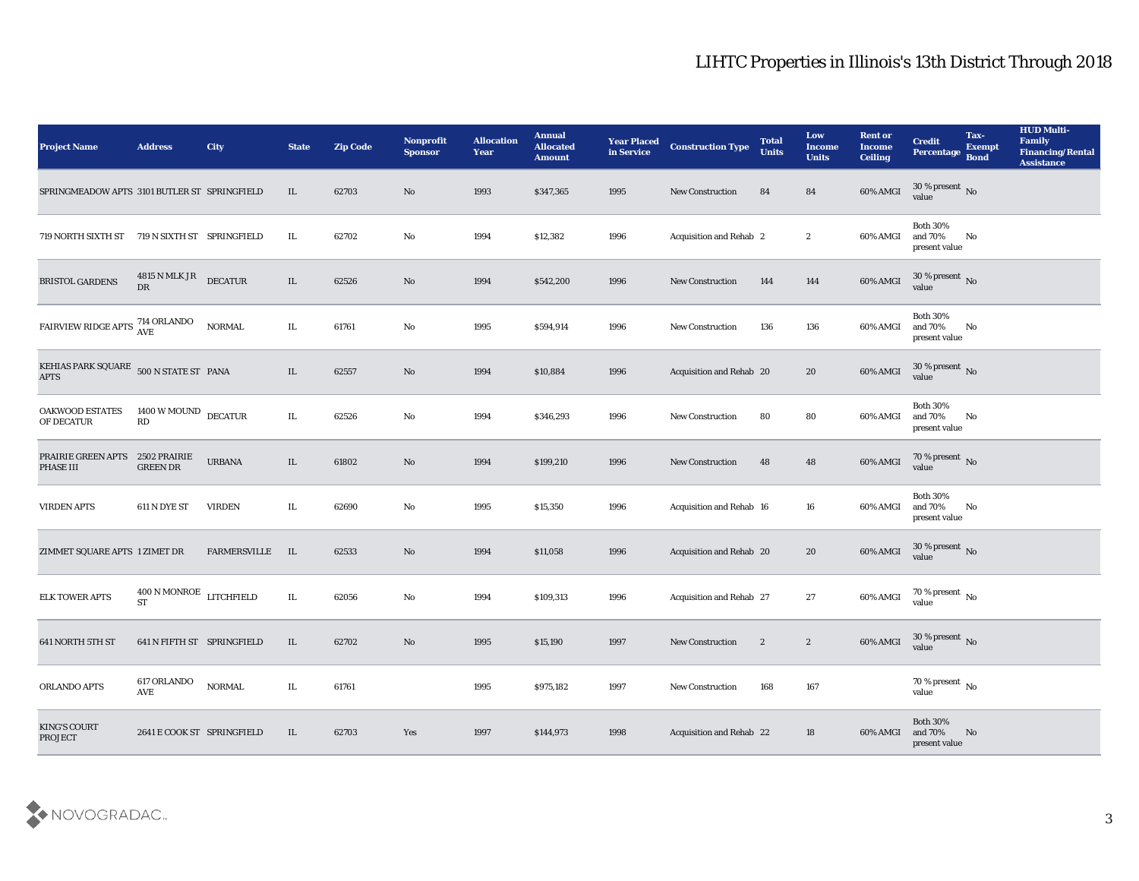| <b>Project Name</b>                                                | <b>Address</b>                       | <b>City</b>         | <b>State</b> | <b>Zip Code</b> | <b>Nonprofit</b><br><b>Sponsor</b> | <b>Allocation</b><br>Year | <b>Annual</b><br><b>Allocated</b><br><b>Amount</b> | <b>Year Placed</b><br>in Service | <b>Construction Type</b> | <b>Total</b><br><b>Units</b> | Low<br><b>Income</b><br><b>Units</b> | <b>Rent or</b><br><b>Income</b><br><b>Ceiling</b> | <b>Credit</b><br>Percentage                    | Tax-<br><b>Exempt</b><br><b>Bond</b> | <b>HUD Multi-</b><br>Family<br><b>Financing/Rental</b><br><b>Assistance</b> |
|--------------------------------------------------------------------|--------------------------------------|---------------------|--------------|-----------------|------------------------------------|---------------------------|----------------------------------------------------|----------------------------------|--------------------------|------------------------------|--------------------------------------|---------------------------------------------------|------------------------------------------------|--------------------------------------|-----------------------------------------------------------------------------|
| SPRINGMEADOW APTS 3101 BUTLER ST SPRINGFIELD                       |                                      |                     | IL           | 62703           | No                                 | 1993                      | \$347,365                                          | 1995                             | <b>New Construction</b>  | 84                           | 84                                   | 60% AMGI                                          | $30\,\%$ present $\,$ No value                 |                                      |                                                                             |
| 719 NORTH SIXTH ST                                                 | 719 N SIXTH ST SPRINGFIELD           |                     | IL           | 62702           | No                                 | 1994                      | \$12,382                                           | 1996                             | Acquisition and Rehab 2  |                              | $\boldsymbol{2}$                     | 60% AMGI                                          | <b>Both 30%</b><br>and 70%<br>present value    | No                                   |                                                                             |
| <b>BRISTOL GARDENS</b>                                             | 4815 N MLK JR<br>DR                  | <b>DECATUR</b>      | IL           | 62526           | No                                 | 1994                      | \$542,200                                          | 1996                             | <b>New Construction</b>  | 144                          | 144                                  | 60% AMGI                                          | 30 % present No<br>value                       |                                      |                                                                             |
| $\frac{\rm FARVIEW\ RIDGE\ A်}\, \frac{\rm 714\ ORLANDO}{\rm AVE}$ |                                      | <b>NORMAL</b>       | IL           | 61761           | No                                 | 1995                      | \$594,914                                          | 1996                             | <b>New Construction</b>  | 136                          | 136                                  | 60% AMGI                                          | <b>Both 30%</b><br>and $70\%$<br>present value | No                                   |                                                                             |
| KEHIAS PARK SQUARE 500 N STATE ST PANA<br><b>APTS</b>              |                                      |                     | IL           | 62557           | No                                 | 1994                      | \$10,884                                           | 1996                             | Acquisition and Rehab 20 |                              | 20                                   | 60% AMGI                                          | $30\,\%$ present $\,$ No value                 |                                      |                                                                             |
| OAKWOOD ESTATES<br>OF DECATUR                                      | 1400 W MOUND DECATUR<br>RD           |                     | IL.          | 62526           | No                                 | 1994                      | \$346,293                                          | 1996                             | <b>New Construction</b>  | 80                           | 80                                   | 60% AMGI                                          | <b>Both 30%</b><br>and 70%<br>present value    | No                                   |                                                                             |
| PRAIRIE GREEN APTS 2502 PRAIRIE<br><b>PHASE III</b>                | <b>GREEN DR</b>                      | <b>URBANA</b>       | IL           | 61802           | No                                 | 1994                      | \$199,210                                          | 1996                             | <b>New Construction</b>  | 48                           | 48                                   | 60% AMGI                                          | $70\,\%$ present $\,$ No value                 |                                      |                                                                             |
| <b>VIRDEN APTS</b>                                                 | 611 N DYE ST                         | <b>VIRDEN</b>       | IL           | 62690           | No                                 | 1995                      | \$15,350                                           | 1996                             | Acquisition and Rehab 16 |                              | 16                                   | 60% AMGI                                          | <b>Both 30%</b><br>and 70%<br>present value    | No                                   |                                                                             |
| ZIMMET SQUARE APTS 1 ZIMET DR                                      |                                      | <b>FARMERSVILLE</b> | IL           | 62533           | No                                 | 1994                      | \$11,058                                           | 1996                             | Acquisition and Rehab 20 |                              | 20                                   | 60% AMGI                                          | $30\,\%$ present $\,$ No value                 |                                      |                                                                             |
| <b>ELK TOWER APTS</b>                                              | 400 N MONROE LITCHFIELD<br><b>ST</b> |                     | IL.          | 62056           | No                                 | 1994                      | \$109,313                                          | 1996                             | Acquisition and Rehab 27 |                              | 27                                   | 60% AMGI                                          | $70\,\%$ present $\,$ No value                 |                                      |                                                                             |
| 641 NORTH 5TH ST                                                   | 641 N FIFTH ST SPRINGFIELD           |                     | IL.          | 62702           | No                                 | 1995                      | \$15,190                                           | 1997                             | <b>New Construction</b>  | $\boldsymbol{2}$             | $\mathbf{2}$                         | 60% AMGI                                          | 30 % present $\,$ No $\,$<br>value             |                                      |                                                                             |
| ORLANDO APTS                                                       | 617 ORLANDO<br>AVE                   | <b>NORMAL</b>       | IL.          | 61761           |                                    | 1995                      | \$975,182                                          | 1997                             | New Construction         | 168                          | 167                                  |                                                   | 70 % present $\,$ No $\,$<br>value             |                                      |                                                                             |
| <b>KING'S COURT</b><br>PROJECT                                     | 2641 E COOK ST SPRINGFIELD           |                     | IL           | 62703           | Yes                                | 1997                      | \$144,973                                          | 1998                             | Acquisition and Rehab 22 |                              | 18                                   | 60% AMGI                                          | Both $30\%$<br>and $70\%$<br>present value     | N <sub>0</sub>                       |                                                                             |

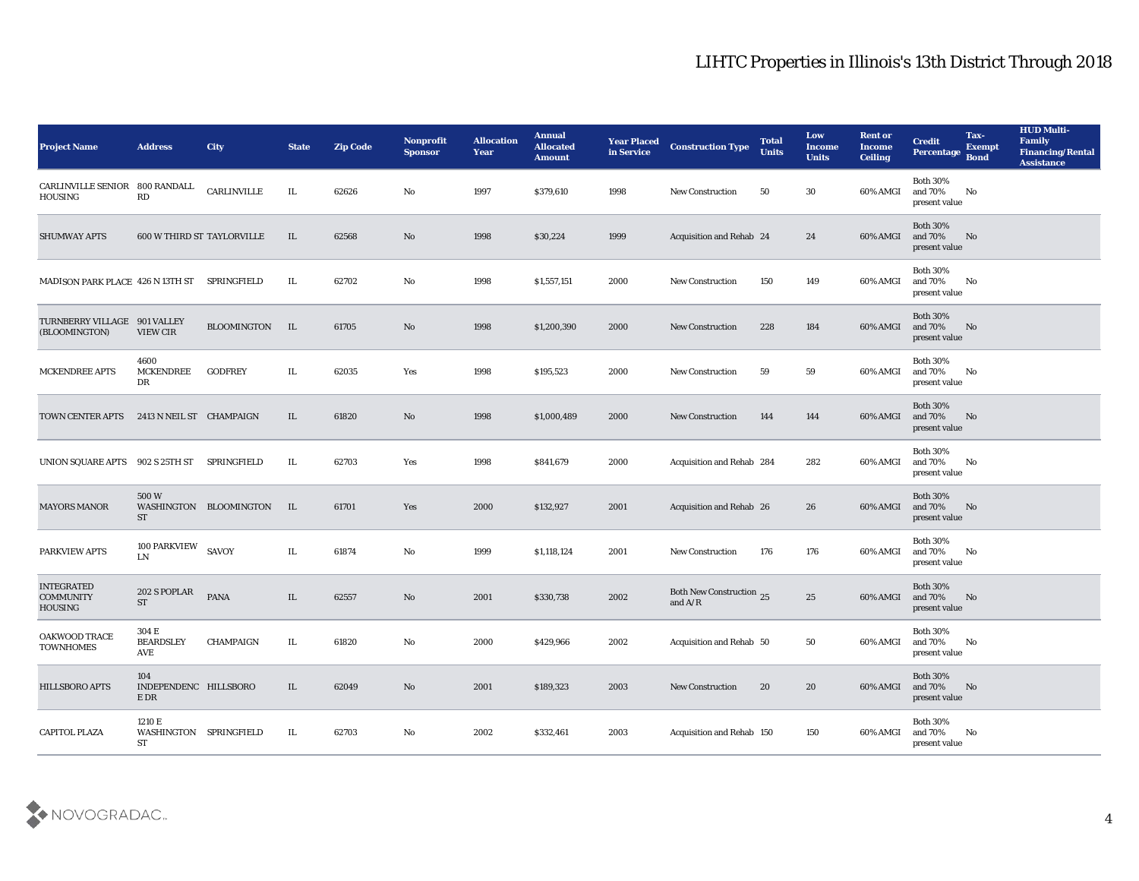| <b>Project Name</b>                                     | <b>Address</b>                         | <b>City</b>            | <b>State</b> | <b>Zip Code</b> | Nonprofit<br><b>Sponsor</b> | <b>Allocation</b><br><b>Year</b> | <b>Annual</b><br><b>Allocated</b><br><b>Amount</b> | <b>Year Placed</b><br>in Service | <b>Construction Type</b>              | <b>Total</b><br><b>Units</b> | Low<br><b>Income</b><br><b>Units</b> | <b>Rent or</b><br><b>Income</b><br><b>Ceiling</b> | <b>Credit</b><br>Percentage Bond                  | Tax-<br><b>Exempt</b> | <b>HUD Multi-</b><br>Family<br><b>Financing/Rental</b><br><b>Assistance</b> |
|---------------------------------------------------------|----------------------------------------|------------------------|--------------|-----------------|-----------------------------|----------------------------------|----------------------------------------------------|----------------------------------|---------------------------------------|------------------------------|--------------------------------------|---------------------------------------------------|---------------------------------------------------|-----------------------|-----------------------------------------------------------------------------|
| <b>CARLINVILLE SENIOR</b><br>HOUSING                    | 800 RANDALL<br>RD                      | CARLINVILLE            | IL           | 62626           | No                          | 1997                             | \$379,610                                          | 1998                             | <b>New Construction</b>               | 50                           | 30                                   | 60% AMGI                                          | <b>Both 30%</b><br>and $70\%$<br>present value    | No                    |                                                                             |
| <b>SHUMWAY APTS</b>                                     | <b>600 W THIRD ST TAYLORVILLE</b>      |                        | IL           | 62568           | No                          | 1998                             | \$30,224                                           | 1999                             | Acquisition and Rehab 24              |                              | 24                                   | 60% AMGI                                          | <b>Both 30%</b><br>and 70%<br>present value       | No                    |                                                                             |
| MADISON PARK PLACE 426 N 13TH ST                        |                                        | SPRINGFIELD            | IL           | 62702           | No                          | 1998                             | \$1,557,151                                        | 2000                             | <b>New Construction</b>               | 150                          | 149                                  | 60% AMGI                                          | <b>Both 30%</b><br>and 70%<br>present value       | No                    |                                                                             |
| TURNBERRY VILLAGE 901 VALLEY<br>(BLOOMINGTON)           | <b>VIEW CIR</b>                        | BLOOMINGTON            | IL           | 61705           | No                          | 1998                             | \$1,200,390                                        | 2000                             | <b>New Construction</b>               | 228                          | 184                                  | 60% AMGI                                          | <b>Both 30%</b><br>and 70%<br>present value       | No                    |                                                                             |
| MCKENDREE APTS                                          | 4600<br><b>MCKENDREE</b><br>DR         | <b>GODFREY</b>         | IL.          | 62035           | Yes                         | 1998                             | \$195,523                                          | 2000                             | <b>New Construction</b>               | 59                           | 59                                   | 60% AMGI                                          | <b>Both 30%</b><br>and 70%<br>present value       | No                    |                                                                             |
| TOWN CENTER APTS 2413 N NEIL ST CHAMPAIGN               |                                        |                        | IL           | 61820           | No                          | 1998                             | \$1,000,489                                        | 2000                             | <b>New Construction</b>               | 144                          | 144                                  | 60% AMGI                                          | <b>Both 30%</b><br>and 70%<br>present value       | No                    |                                                                             |
| UNION SQUARE APTS                                       | 902 S 25TH ST                          | SPRINGFIELD            | IL           | 62703           | Yes                         | 1998                             | \$841,679                                          | 2000                             | Acquisition and Rehab 284             |                              | 282                                  | 60% AMGI                                          | <b>Both 30%</b><br>and 70%<br>present value       | No                    |                                                                             |
| <b>MAYORS MANOR</b>                                     | 500W<br>ST                             | WASHINGTON BLOOMINGTON | IL.          | 61701           | Yes                         | 2000                             | \$132,927                                          | 2001                             | Acquisition and Rehab 26              |                              | 26                                   | 60% AMGI                                          | <b>Both 30%</b><br>and 70%<br>present value       | No                    |                                                                             |
| PARKVIEW APTS                                           | 100 PARKVIEW<br>LN                     | <b>SAVOY</b>           | IL           | 61874           | No                          | 1999                             | \$1,118,124                                        | 2001                             | New Construction                      | 176                          | 176                                  | 60% AMGI                                          | <b>Both 30%</b><br>and 70%<br>present value       | No                    |                                                                             |
| <b>INTEGRATED</b><br><b>COMMUNITY</b><br><b>HOUSING</b> | 202 S POPLAR<br><b>ST</b>              | <b>PANA</b>            | IL           | 62557           | No                          | 2001                             | \$330,738                                          | 2002                             | Both New Construction 25<br>and $A/R$ |                              | 25                                   | 60% AMGI                                          | <b>Both 30%</b><br>and 70%<br>present value       | No                    |                                                                             |
| OAKWOOD TRACE<br><b>TOWNHOMES</b>                       | 304 E<br><b>BEARDSLEY</b><br>AVE       | <b>CHAMPAIGN</b>       | IL           | 61820           | No                          | 2000                             | \$429,966                                          | 2002                             | Acquisition and Rehab 50              |                              | 50                                   | 60% AMGI                                          | <b>Both 30%</b><br>and 70%<br>present value       | No                    |                                                                             |
| <b>HILLSBORO APTS</b>                                   | 104<br>INDEPENDENC HILLSBORO<br>$E$ DR |                        | $\rm IL$     | 62049           | $\rm\, No$                  | 2001                             | \$189,323                                          | 2003                             | <b>New Construction</b>               | 20                           | ${\bf 20}$                           | 60% AMGI                                          | <b>Both 30%</b><br>and $70\%$ No<br>present value |                       |                                                                             |
| <b>CAPITOL PLAZA</b>                                    | 1210 E<br>WASHINGTON SPRINGFIELD<br>ST |                        | IL           | 62703           | $\mathbf {No}$              | 2002                             | \$332,461                                          | 2003                             | Acquisition and Rehab 150             |                              | 150                                  | 60% AMGI                                          | Both $30\%$<br>and 70%<br>present value           | No                    |                                                                             |

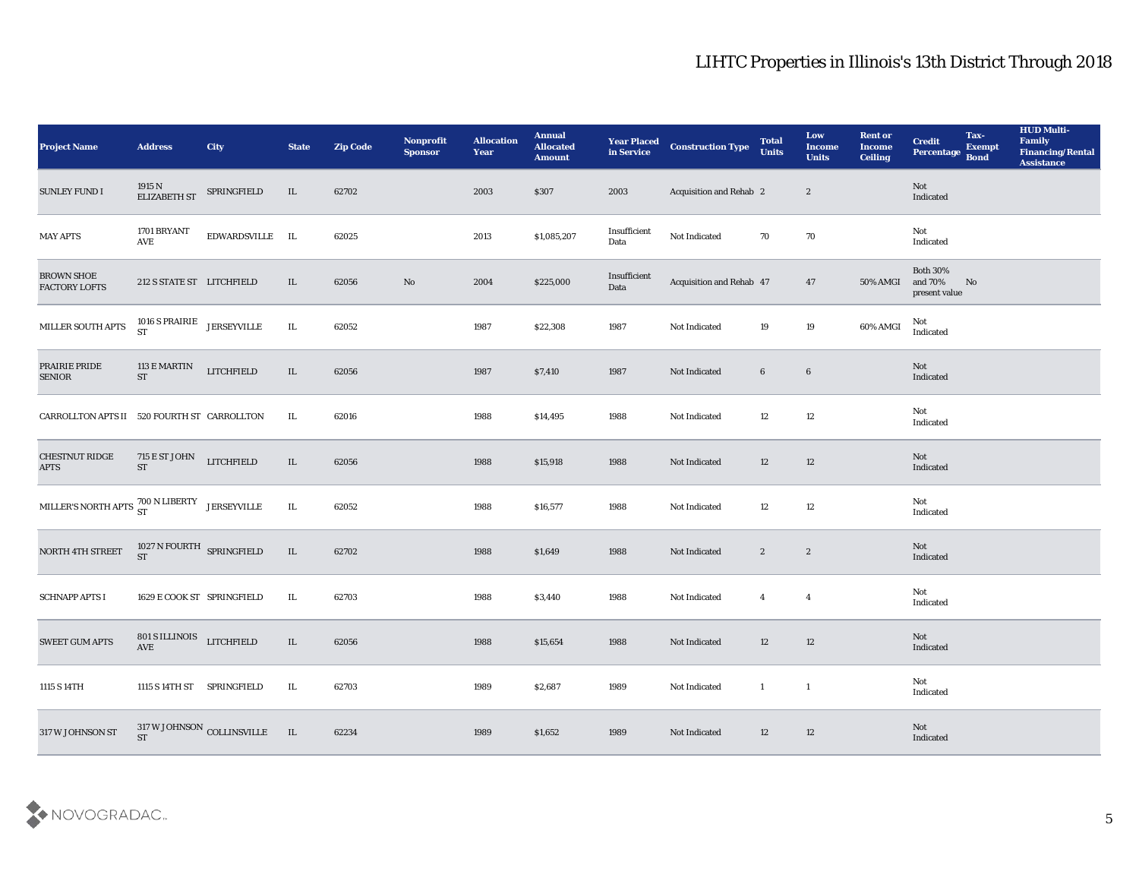| <b>Project Name</b>                                         | <b>Address</b>                                    | <b>City</b>                | <b>State</b> | <b>Zip Code</b> | Nonprofit<br><b>Sponsor</b> | <b>Allocation</b><br>Year | <b>Annual</b><br><b>Allocated</b><br><b>Amount</b> | <b>Year Placed</b><br>in Service | <b>Construction Type</b>       | <b>Total</b><br><b>Units</b>             | Low<br><b>Income</b><br><b>Units</b> | <b>Rent or</b><br><b>Income</b><br><b>Ceiling</b> | <b>Credit</b><br>Percentage                 | Tax-<br><b>Exempt</b><br><b>Bond</b> | <b>HUD Multi-</b><br>Family<br><b>Financing/Rental</b><br><b>Assistance</b> |
|-------------------------------------------------------------|---------------------------------------------------|----------------------------|--------------|-----------------|-----------------------------|---------------------------|----------------------------------------------------|----------------------------------|--------------------------------|------------------------------------------|--------------------------------------|---------------------------------------------------|---------------------------------------------|--------------------------------------|-----------------------------------------------------------------------------|
| <b>SUNLEY FUND I</b>                                        | 1915 $N$ ELIZABETH ST $\;$ SPRINGFIELD            |                            | IL           | 62702           |                             | 2003                      | \$307                                              | 2003                             | <b>Acquisition and Rehab 2</b> |                                          | $\boldsymbol{2}$                     |                                                   | Not<br>Indicated                            |                                      |                                                                             |
| <b>MAY APTS</b>                                             | 1701 BRYANT<br>AVE                                | EDWARDSVILLE IL            |              | 62025           |                             | 2013                      | \$1,085,207                                        | Insufficient<br>Data             | Not Indicated                  | 70                                       | 70                                   |                                                   | Not<br>Indicated                            |                                      |                                                                             |
| <b>BROWN SHOE</b><br><b>FACTORY LOFTS</b>                   | 212 S STATE ST LITCHFIELD                         |                            | IL           | 62056           | $\mathbf{N}\mathbf{o}$      | 2004                      | \$225,000                                          | Insufficient<br>Data             | Acquisition and Rehab 47       |                                          | 47                                   | 50% AMGI                                          | <b>Both 30%</b><br>and 70%<br>present value | N <sub>o</sub>                       |                                                                             |
| MILLER SOUTH APTS                                           | $1016$ S PRAIRIE JERSEYVILLE<br><b>ST</b>         |                            | $\;$ IL      | 62052           |                             | 1987                      | \$22,308                                           | 1987                             | Not Indicated                  | 19                                       | 19                                   | 60% AMGI                                          | Not<br>$\operatorname{Indicated}$           |                                      |                                                                             |
| PRAIRIE PRIDE<br><b>SENIOR</b>                              | 113 E MARTIN<br><b>ST</b>                         | <b>LITCHFIELD</b>          | IL           | 62056           |                             | 1987                      | \$7,410                                            | 1987                             | Not Indicated                  | $6\phantom{.0}$                          | $\bf 6$                              |                                                   | Not<br>Indicated                            |                                      |                                                                             |
| CARROLLTON APTS II 520 FOURTH ST CARROLLTON                 |                                                   |                            | IL           | 62016           |                             | 1988                      | \$14,495                                           | 1988                             | Not Indicated                  | 12                                       | 12                                   |                                                   | Not<br>Indicated                            |                                      |                                                                             |
| <b>CHESTNUT RIDGE</b><br><b>APTS</b>                        | 715 E ST JOHN LITCHFIELD<br><b>ST</b>             |                            | $\;$ IL      | 62056           |                             | 1988                      | \$15,918                                           | 1988                             | Not Indicated                  | 12                                       | 12                                   |                                                   | Not<br>Indicated                            |                                      |                                                                             |
| MILLER'S NORTH APTS $^{700}_{\rm ST}$ N LIBERTY JERSEYVILLE |                                                   |                            | IL           | 62052           |                             | 1988                      | \$16,577                                           | 1988                             | Not Indicated                  | 12                                       | 12                                   |                                                   | Not<br>Indicated                            |                                      |                                                                             |
| NORTH 4TH STREET                                            | 1027 N FOURTH SPRINGFIELD<br><b>ST</b>            |                            | IL           | 62702           |                             | 1988                      | \$1,649                                            | 1988                             | Not Indicated                  | $\mathbf{2}$                             | $\boldsymbol{2}$                     |                                                   | Not<br>Indicated                            |                                      |                                                                             |
| <b>SCHNAPP APTS I</b>                                       | 1629 E COOK ST SPRINGFIELD                        |                            | IL           | 62703           |                             | 1988                      | \$3,440                                            | 1988                             | Not Indicated                  | $\overline{4}$                           | $\overline{4}$                       |                                                   | Not<br>Indicated                            |                                      |                                                                             |
| <b>SWEET GUM APTS</b>                                       | 801 S ILLINOIS LITCHFIELD<br>$\operatorname{AVE}$ |                            | IL           | 62056           |                             | 1988                      | \$15,654                                           | 1988                             | Not Indicated                  | 12                                       | 12                                   |                                                   | Not<br>Indicated                            |                                      |                                                                             |
| 1115 S 14TH                                                 | 1115 S 14TH ST SPRINGFIELD                        |                            | $\rm IL$     | 62703           |                             | 1989                      | \$2,687                                            | 1989                             | Not Indicated                  | $\mathbf{1}$<br>$\overline{\phantom{a}}$ |                                      |                                                   | Not<br>Indicated                            |                                      |                                                                             |
| 317 W JOHNSON ST                                            | <b>ST</b>                                         | 317 W JOHNSON COLLINSVILLE | IL           | 62234           |                             | 1989                      | \$1,652                                            | 1989                             | Not Indicated                  | 12                                       | 12                                   |                                                   | Not<br>Indicated                            |                                      |                                                                             |

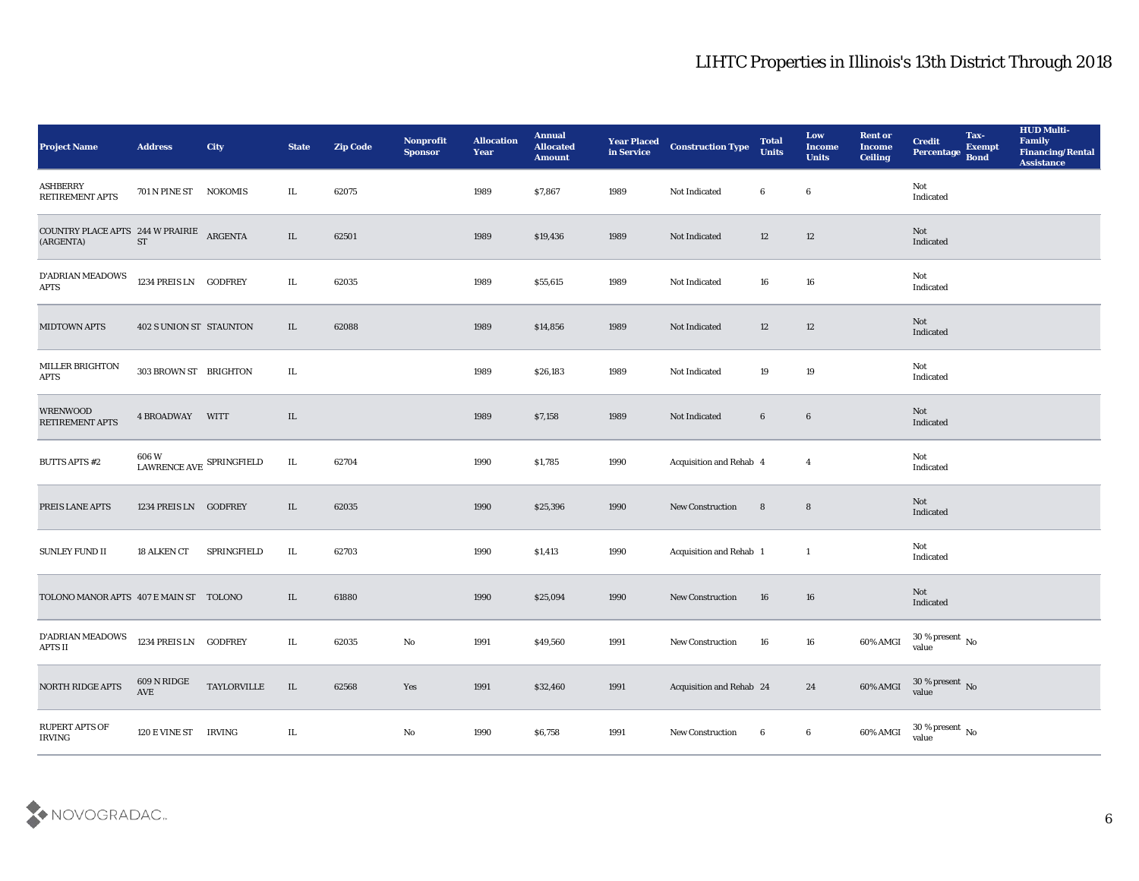| <b>Project Name</b>                                   | <b>Address</b>                        | <b>City</b>    | <b>State</b> | <b>Zip Code</b> | Nonprofit<br><b>Sponsor</b> | <b>Allocation</b><br>Year | <b>Annual</b><br><b>Allocated</b><br><b>Amount</b> | <b>Year Placed</b><br>in Service | <b>Construction Type</b> | <b>Total</b><br><b>Units</b> | Low<br><b>Income</b><br><b>Units</b> | <b>Rent or</b><br><b>Income</b><br><b>Ceiling</b> | <b>Credit</b><br>Percentage                                     | Tax-<br><b>Exempt</b><br><b>Bond</b> | <b>HUD Multi-</b><br>Family<br><b>Financing/Rental</b><br><b>Assistance</b> |
|-------------------------------------------------------|---------------------------------------|----------------|--------------|-----------------|-----------------------------|---------------------------|----------------------------------------------------|----------------------------------|--------------------------|------------------------------|--------------------------------------|---------------------------------------------------|-----------------------------------------------------------------|--------------------------------------|-----------------------------------------------------------------------------|
| <b>ASHBERRY</b><br>RETIREMENT APTS                    | 701 N PINE ST                         | <b>NOKOMIS</b> | IL           | 62075           |                             | 1989                      | \$7,867                                            | 1989                             | Not Indicated            | 6                            | $\boldsymbol{6}$                     |                                                   | Not<br>Indicated                                                |                                      |                                                                             |
| COUNTRY PLACE APTS 244 W PRAIRIE ARGENTA<br>(ARGENTA) | <b>ST</b>                             |                | IL           | 62501           |                             | 1989                      | \$19,436                                           | 1989                             | Not Indicated            | 12                           | 12                                   |                                                   | Not<br>Indicated                                                |                                      |                                                                             |
| D'ADRIAN MEADOWS<br><b>APTS</b>                       | 1234 PREIS LN GODFREY                 |                | IL           | 62035           |                             | 1989                      | \$55,615                                           | 1989                             | Not Indicated            | 16                           | 16                                   |                                                   | Not<br>Indicated                                                |                                      |                                                                             |
| <b>MIDTOWN APTS</b>                                   | <b>402 S UNION ST STAUNTON</b>        |                | IL           | 62088           |                             | 1989                      | \$14,856                                           | 1989                             | Not Indicated            | 12                           | 12                                   |                                                   | Not<br>Indicated                                                |                                      |                                                                             |
| MILLER BRIGHTON<br><b>APTS</b>                        | 303 BROWN ST BRIGHTON                 |                | IL           |                 |                             | 1989                      | \$26,183                                           | 1989                             | Not Indicated            | 19                           | 19                                   |                                                   | Not<br>Indicated                                                |                                      |                                                                             |
| <b>WRENWOOD</b><br>RETIREMENT APTS                    | 4 BROADWAY WITT                       |                | IL           |                 |                             | 1989                      | \$7,158                                            | 1989                             | Not Indicated            | $6\phantom{.0}$              | $\boldsymbol{6}$                     |                                                   | Not<br>Indicated                                                |                                      |                                                                             |
| <b>BUTTS APTS #2</b>                                  | 606 W<br>LAWRENCE AVE SPRINGFIELD     |                | IL           | 62704           |                             | 1990                      | \$1,785                                            | 1990                             | Acquisition and Rehab 4  |                              | $\overline{\mathbf{4}}$              |                                                   | Not<br>Indicated                                                |                                      |                                                                             |
| PREIS LANE APTS                                       | 1234 PREIS LN GODFREY                 |                | IL           | 62035           |                             | 1990                      | \$25,396                                           | 1990                             | <b>New Construction</b>  | 8                            | 8                                    |                                                   | Not<br>Indicated                                                |                                      |                                                                             |
| <b>SUNLEY FUND II</b>                                 | 18 ALKEN CT                           | SPRINGFIELD    | IL           | 62703           |                             | 1990                      | \$1,413                                            | 1990                             | Acquisition and Rehab 1  |                              | $\mathbf{1}$                         |                                                   | Not<br>Indicated                                                |                                      |                                                                             |
| TOLONO MANOR APTS 407 E MAIN ST TOLONO                |                                       |                | IL           | 61880           |                             | 1990                      | \$25,094                                           | 1990                             | <b>New Construction</b>  | 16                           | 16                                   |                                                   | Not<br>Indicated                                                |                                      |                                                                             |
| D'ADRIAN MEADOWS<br><b>APTS II</b>                    | 1234 PREIS LN GODFREY                 |                | IL           | 62035           | No                          | 1991                      | \$49,560                                           | 1991                             | <b>New Construction</b>  | 16                           | 16                                   | 60% AMGI                                          | 30 % present $\,$ No $\,$<br>value                              |                                      |                                                                             |
| <b>NORTH RIDGE APTS</b>                               | $609$ N RIDGE<br>$\operatorname{AVE}$ | TAYLORVILLE    | $\;$ IL      | 62568           | Yes                         | 1991                      | \$32,460                                           | 1991                             | Acquisition and Rehab 24 |                              | 24                                   |                                                   | 60% AMGI $\frac{30 \text{ %} \text{ present}}{\text{value}}$ No |                                      |                                                                             |
| RUPERT APTS OF<br>IRVING                              | 120 E VINE ST IRVING                  |                | $\rm IL$     |                 | $\mathbf {No}$              | 1990                      | \$6,758                                            | 1991                             | New Construction         | 6                            | $\bf 6$                              | 60% AMGI                                          | 30 % present $\,$ No $\,$<br>value                              |                                      |                                                                             |

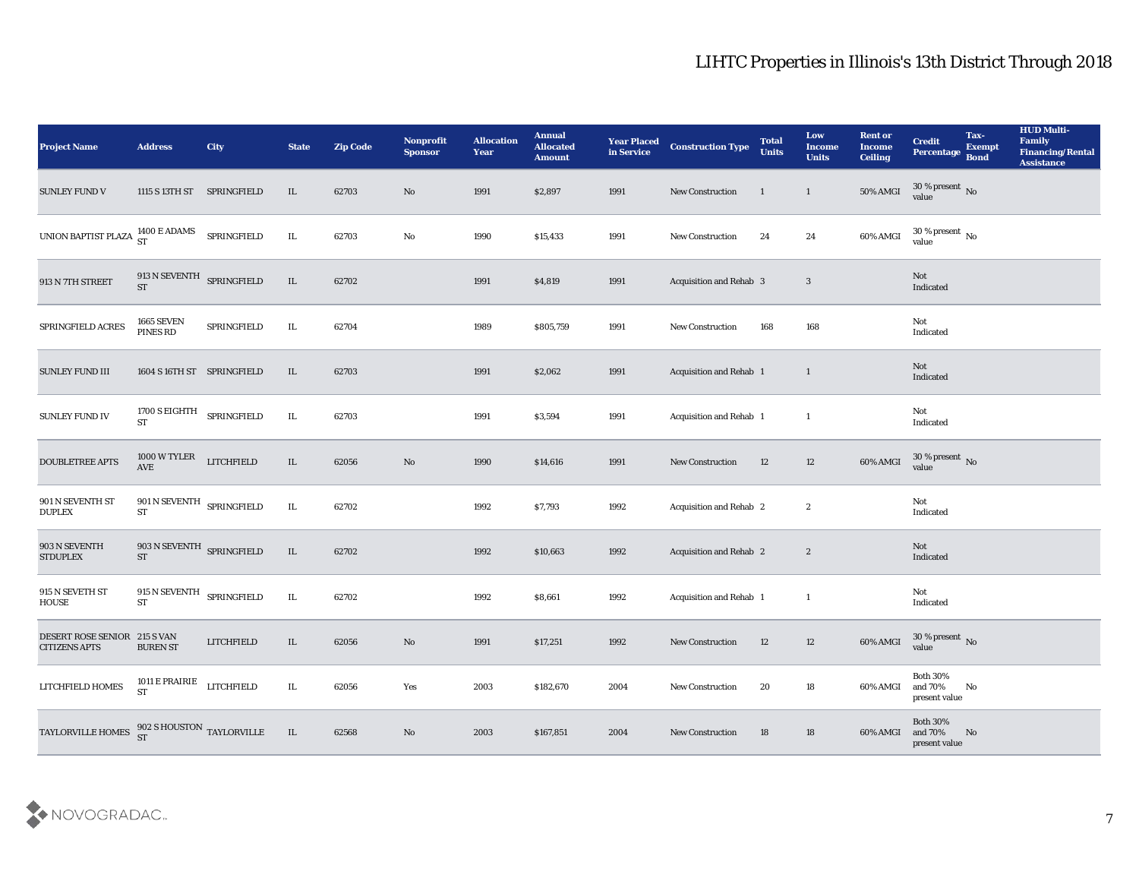| <b>Project Name</b>                                   | <b>Address</b>                                               | City        | <b>State</b> | <b>Zip Code</b> | Nonprofit<br><b>Sponsor</b> | <b>Allocation</b><br><b>Year</b> | <b>Annual</b><br><b>Allocated</b><br><b>Amount</b> | <b>Year Placed</b><br>in Service | <b>Construction Type</b>       | <b>Total</b><br><b>Units</b> | Low<br><b>Income</b><br><b>Units</b> | <b>Rent or</b><br><b>Income</b><br><b>Ceiling</b> | <b>Credit</b><br>Percentage Bond               | Tax-<br><b>Exempt</b> | <b>HUD Multi-</b><br>Family<br><b>Financing/Rental</b><br><b>Assistance</b> |
|-------------------------------------------------------|--------------------------------------------------------------|-------------|--------------|-----------------|-----------------------------|----------------------------------|----------------------------------------------------|----------------------------------|--------------------------------|------------------------------|--------------------------------------|---------------------------------------------------|------------------------------------------------|-----------------------|-----------------------------------------------------------------------------|
| <b>SUNLEY FUND V</b>                                  | 1115 S 13TH ST SPRINGFIELD                                   |             | IL           | 62703           | $\mathbf{N}\mathbf{o}$      | 1991                             | \$2,897                                            | 1991                             | New Construction               | $\mathbf{1}$                 | $\mathbf{1}$                         | <b>50% AMGI</b>                                   | $30\,\%$ present $\,$ No value                 |                       |                                                                             |
| UNION BAPTIST PLAZA $^{1400}_{\rm ST}$ E ADAMS        |                                                              | SPRINGFIELD | IL           | 62703           | No                          | 1990                             | \$15,433                                           | 1991                             | New Construction               | 24                           | 24                                   | 60% AMGI                                          | $30\,\%$ present $\,$ No value                 |                       |                                                                             |
| 913 N 7TH STREET                                      | 913 N SEVENTH SPRINGFIELD<br><b>ST</b>                       |             | $\rm IL$     | 62702           |                             | 1991                             | \$4,819                                            | 1991                             | <b>Acquisition and Rehab 3</b> |                              | $\mathbf{3}$                         |                                                   | Not<br>Indicated                               |                       |                                                                             |
| SPRINGFIELD ACRES                                     | <b>1665 SEVEN</b><br>PINES RD                                | SPRINGFIELD | IL           | 62704           |                             | 1989                             | \$805,759                                          | 1991                             | New Construction               | 168                          | 168                                  |                                                   | Not<br>Indicated                               |                       |                                                                             |
| <b>SUNLEY FUND III</b>                                | 1604 S 16TH ST SPRINGFIELD                                   |             | IL.          | 62703           |                             | 1991                             | \$2,062                                            | 1991                             | Acquisition and Rehab 1        |                              | $\mathbf{1}$                         |                                                   | Not<br>Indicated                               |                       |                                                                             |
| <b>SUNLEY FUND IV</b>                                 | 1700 S EIGHTH SPRINGFIELD<br>$\operatorname{ST}$             |             | IL           | 62703           |                             | 1991                             | \$3,594                                            | 1991                             | Acquisition and Rehab 1        |                              | $\mathbf{1}$                         |                                                   | Not<br>Indicated                               |                       |                                                                             |
| <b>DOUBLETREE APTS</b>                                | $1000\,\mathrm{W}\,\mathrm{TYLER}$ LITCHFIELD AVE            |             | IL           | 62056           | $\mathbf {No}$              | 1990                             | \$14,616                                           | 1991                             | New Construction               | 12                           | 12                                   | 60% AMGI                                          | $30\,\%$ present $\,$ No value                 |                       |                                                                             |
| 901 N SEVENTH ST<br><b>DUPLEX</b>                     | $901$ N SEVENTH $$\mbox{\sc SpRINGF}$<br>$\operatorname{ST}$ |             | IL           | 62702           |                             | 1992                             | \$7,793                                            | 1992                             | Acquisition and Rehab 2        |                              | $\boldsymbol{2}$                     |                                                   | Not<br>Indicated                               |                       |                                                                             |
| 903 N SEVENTH<br><b>STDUPLEX</b>                      | 903 N SEVENTH SPRINGFIELD<br><b>ST</b>                       |             | IL           | 62702           |                             | 1992                             | \$10,663                                           | 1992                             | Acquisition and Rehab 2        |                              | $\mathbf{2}$                         |                                                   | Not<br>Indicated                               |                       |                                                                             |
| 915 N SEVETH ST<br>HOUSE                              | 915 N SEVENTH SPRINGFIELD<br>ST                              |             | IL           | 62702           |                             | 1992                             | \$8,661                                            | 1992                             | Acquisition and Rehab 1        |                              | -1                                   |                                                   | Not<br>Indicated                               |                       |                                                                             |
| DESERT ROSE SENIOR 215 S VAN<br><b>CITIZENS APTS</b>  | <b>BUREN ST</b>                                              | LITCHFIELD  | IL           | 62056           | No                          | 1991                             | \$17,251                                           | 1992                             | <b>New Construction</b>        | 12                           | 12                                   | 60% AMGI                                          | $30\,\%$ present $\,$ No value                 |                       |                                                                             |
| LITCHFIELD HOMES                                      | 1011 ${\rm E}$ PRAIRIE LITCHFIELD<br><b>ST</b>               |             | IL           | 62056           | Yes                         | 2003                             | \$182,670                                          | 2004                             | New Construction               | 20                           | 18                                   | 60% AMGI                                          | <b>Both 30%</b><br>and 70%<br>present value    | No                    |                                                                             |
| TAYLORVILLE HOMES $^{902}_{ST}$ S HOUSTON TAYLORVILLE |                                                              |             | $\;$ IL      | 62568           | $\mathbf{N}\mathbf{o}$      | 2003                             | \$167,851                                          | 2004                             | <b>New Construction</b>        | 18                           | 18                                   | 60% AMGI                                          | <b>Both 30%</b><br>and 70% No<br>present value |                       |                                                                             |

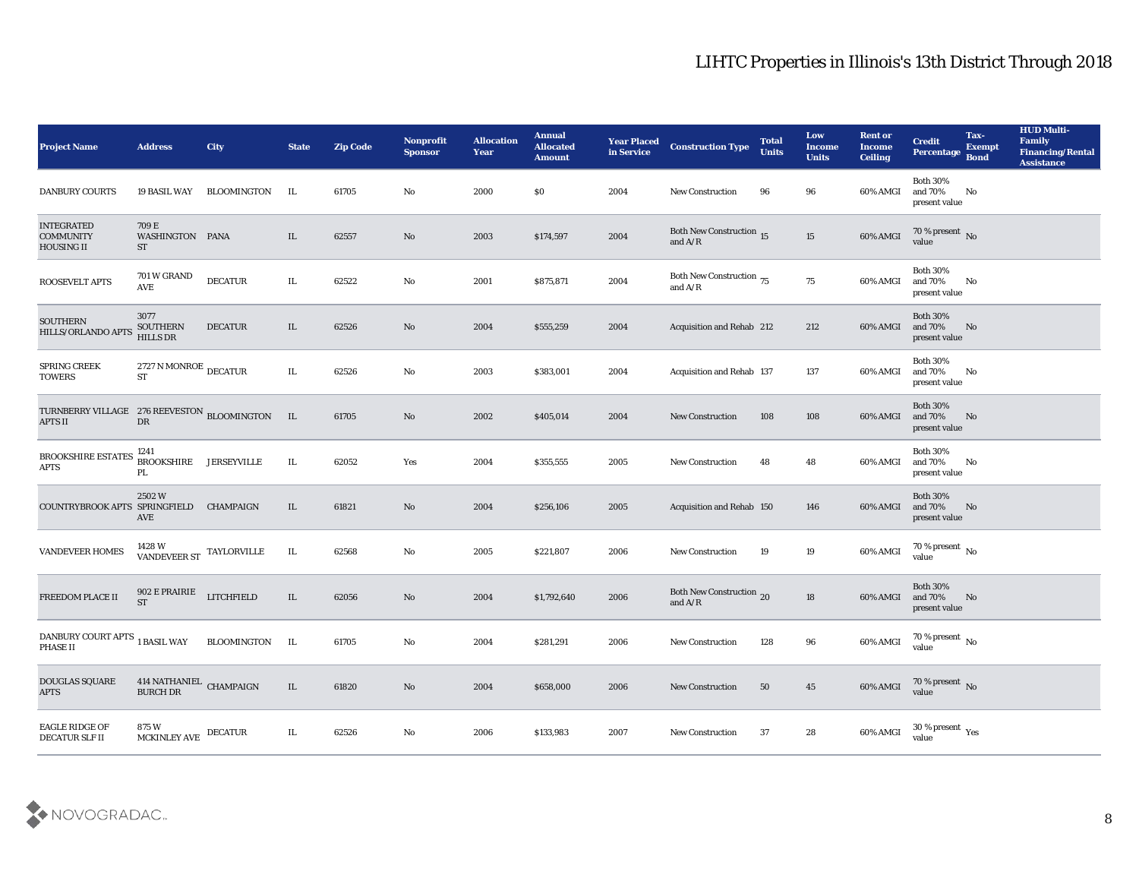| <b>Project Name</b>                                              | <b>Address</b>                              | <b>City</b>        | <b>State</b> | <b>Zip Code</b> | Nonprofit<br><b>Sponsor</b> | <b>Allocation</b><br><b>Year</b> | <b>Annual</b><br><b>Allocated</b><br><b>Amount</b> | <b>Year Placed</b><br>in Service | <b>Construction Type</b>                                                               | <b>Total</b><br><b>Units</b> | Low<br><b>Income</b><br><b>Units</b> | <b>Rent or</b><br><b>Income</b><br><b>Ceiling</b> | <b>Credit</b><br><b>Percentage</b>          | Tax-<br><b>Exempt</b><br><b>Bond</b> | <b>HUD Multi-</b><br>Family<br><b>Financing/Rental</b><br><b>Assistance</b> |
|------------------------------------------------------------------|---------------------------------------------|--------------------|--------------|-----------------|-----------------------------|----------------------------------|----------------------------------------------------|----------------------------------|----------------------------------------------------------------------------------------|------------------------------|--------------------------------------|---------------------------------------------------|---------------------------------------------|--------------------------------------|-----------------------------------------------------------------------------|
| <b>DANBURY COURTS</b>                                            | <b>19 BASIL WAY</b>                         | BLOOMINGTON        | IL           | 61705           | No                          | 2000                             | $\$0$                                              | 2004                             | New Construction                                                                       | 96                           | 96                                   | 60% AMGI                                          | <b>Both 30%</b><br>and 70%<br>present value | No                                   |                                                                             |
| <b>INTEGRATED</b><br><b>COMMUNITY</b><br><b>HOUSING II</b>       | 709 E<br>WASHINGTON PANA<br><b>ST</b>       |                    | IL           | 62557           | No                          | 2003                             | \$174,597                                          | 2004                             | <b>Both New Construction 15</b><br>and $A/R$                                           |                              | 15                                   | 60% AMGI                                          | 70 % present No<br>value                    |                                      |                                                                             |
| <b>ROOSEVELT APTS</b>                                            | 701 W GRAND<br>AVE                          | <b>DECATUR</b>     | IL.          | 62522           | No                          | 2001                             | \$875,871                                          | 2004                             | Both New Construction $_{75}$<br>and $\ensuremath{\mathrm{A}}/\ensuremath{\mathrm{R}}$ |                              | 75                                   | 60% AMGI                                          | <b>Both 30%</b><br>and 70%<br>present value | No                                   |                                                                             |
| <b>SOUTHERN</b><br>HILLS/ORLANDO APTS                            | 3077<br><b>SOUTHERN</b><br><b>HILLS DR</b>  | <b>DECATUR</b>     | IL           | 62526           | No                          | 2004                             | \$555,259                                          | 2004                             | Acquisition and Rehab 212                                                              |                              | 212                                  | 60% AMGI                                          | <b>Both 30%</b><br>and 70%<br>present value | No                                   |                                                                             |
| <b>SPRING CREEK</b><br><b>TOWERS</b>                             | 2727 N MONROE $_{\rm DECATUR}$<br><b>ST</b> |                    | IL.          | 62526           | No                          | 2003                             | \$383,001                                          | 2004                             | <b>Acquisition and Rehab 137</b>                                                       |                              | 137                                  | 60% AMGI                                          | <b>Both 30%</b><br>and 70%<br>present value | No                                   |                                                                             |
| TURNBERRY VILLAGE 276 REEVESTON BLOOMINGTON IL<br><b>APTS II</b> | DR                                          |                    |              | 61705           | No                          | 2002                             | \$405,014                                          | 2004                             | <b>New Construction</b>                                                                | 108                          | 108                                  | 60% AMGI                                          | <b>Both 30%</b><br>and 70%<br>present value | No                                   |                                                                             |
| <b>BROOKSHIRE ESTATES</b><br>$\rm APTS$                          | 1241<br><b>BROOKSHIRE</b><br>PL             | <b>JERSEYVILLE</b> | IL.          | 62052           | Yes                         | 2004                             | \$355,555                                          | 2005                             | <b>New Construction</b>                                                                | 48                           | 48                                   | 60% AMGI                                          | <b>Both 30%</b><br>and 70%<br>present value | No                                   |                                                                             |
| COUNTRYBROOK APTS SPRINGFIELD                                    | 2502W<br>AVE                                | <b>CHAMPAIGN</b>   | IL           | 61821           | No                          | 2004                             | \$256,106                                          | 2005                             | Acquisition and Rehab 150                                                              |                              | 146                                  | 60% AMGI                                          | <b>Both 30%</b><br>and 70%<br>present value | No                                   |                                                                             |
| <b>VANDEVEER HOMES</b>                                           | 1428 W<br>VANDEVEER ST                      | TAYLORVILLE        | IL           | 62568           | No                          | 2005                             | \$221,807                                          | 2006                             | <b>New Construction</b>                                                                | 19                           | 19                                   | 60% AMGI                                          | 70 % present $\,$ No $\,$<br>value          |                                      |                                                                             |
| FREEDOM PLACE II                                                 | 902 E PRAIRIE<br><b>ST</b>                  | <b>LITCHFIELD</b>  | IL           | 62056           | No                          | 2004                             | \$1,792,640                                        | 2006                             | Both New Construction 20<br>and $\ensuremath{\mathrm{A}}/\ensuremath{\mathrm{R}}$      |                              | 18                                   | 60% AMGI                                          | <b>Both 30%</b><br>and 70%<br>present value | No                                   |                                                                             |
| DANBURY COURT APTS $_{\rm 1~BASIL}$ WAY<br>PHASE II              |                                             | <b>BLOOMINGTON</b> | IL           | 61705           | No                          | 2004                             | \$281,291                                          | 2006                             | <b>New Construction</b>                                                                | 128                          | 96                                   | 60% AMGI                                          | 70 % present $\,$ No $\,$<br>value          |                                      |                                                                             |
| DOUGLAS SQUARE<br><b>APTS</b>                                    | $414$ NATHANIEL $\,$ CHAMPAIGN BURCH DR     |                    | IL           | 61820           | $\rm\thinspace No$          | 2004                             | \$658,000                                          | 2006                             | <b>New Construction</b>                                                                | 50                           | 45                                   | 60% AMGI                                          | $70\,\%$ present $\,$ No value              |                                      |                                                                             |
| EAGLE RIDGE OF<br>DECATUR SLF II                                 | $875\ \rm{W}$ MCKINLEY AVE $\,$ DECATUR     |                    | IL           | 62526           | $\mathbf{N}\mathbf{o}$      | 2006                             | \$133,983                                          | 2007                             | New Construction                                                                       | 37                           | 28                                   | 60% AMGI                                          | $30$ % present $\,$ $\rm Yes$<br>value      |                                      |                                                                             |

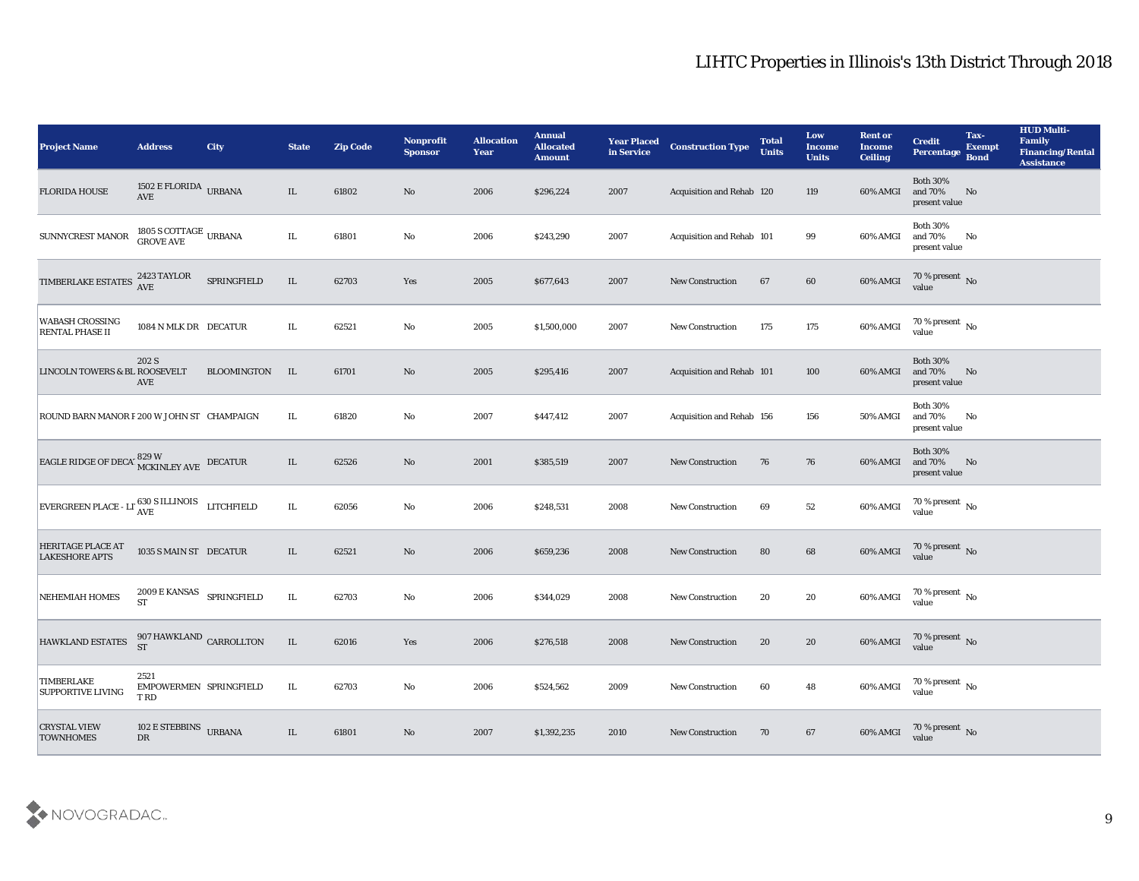| <b>Project Name</b>                                                      | <b>Address</b>                                 | City          | <b>State</b> | <b>Zip Code</b> | <b>Nonprofit</b><br><b>Sponsor</b> | <b>Allocation</b><br><b>Year</b> | <b>Annual</b><br><b>Allocated</b><br><b>Amount</b> | <b>Year Placed</b><br>in Service | <b>Construction Type</b>  | <b>Total</b><br><b>Units</b> | Low<br><b>Income</b><br><b>Units</b> | <b>Rent or</b><br><b>Income</b><br><b>Ceiling</b> | <b>Credit</b><br>Percentage                 | Tax-<br><b>Exempt</b><br><b>Bond</b> | <b>HUD Multi-</b><br>Family<br><b>Financing/Rental</b><br><b>Assistance</b> |
|--------------------------------------------------------------------------|------------------------------------------------|---------------|--------------|-----------------|------------------------------------|----------------------------------|----------------------------------------------------|----------------------------------|---------------------------|------------------------------|--------------------------------------|---------------------------------------------------|---------------------------------------------|--------------------------------------|-----------------------------------------------------------------------------|
| <b>FLORIDA HOUSE</b>                                                     | $1502$ E FLORIDA $\,$ URBANA AVE               |               | $\rm IL$     | 61802           | No                                 | 2006                             | \$296,224                                          | 2007                             | Acquisition and Rehab 120 |                              | 119                                  | 60% AMGI                                          | <b>Both 30%</b><br>and 70%<br>present value | No                                   |                                                                             |
| SUNNYCREST MANOR                                                         | $1805$ S COTTAGE $\:$ URBANA GROVE AVE         |               | IL           | 61801           | No                                 | 2006                             | \$243,290                                          | 2007                             | Acquisition and Rehab 101 |                              | 99                                   | 60% AMGI                                          | <b>Both 30%</b><br>and 70%<br>present value | No                                   |                                                                             |
| TIMBERLAKE ESTATES 2423 TAYLOR                                           |                                                | SPRINGFIELD   | IL           | 62703           | Yes                                | 2005                             | \$677,643                                          | 2007                             | <b>New Construction</b>   | 67                           | 60                                   | 60% AMGI                                          | $70\,\%$ present $\,$ No value              |                                      |                                                                             |
| <b>WABASH CROSSING</b><br>RENTAL PHASE II                                | 1084 N MLK DR DECATUR                          |               | IL           | 62521           | No                                 | 2005                             | \$1,500,000                                        | 2007                             | <b>New Construction</b>   | 175                          | 175                                  | 60% AMGI                                          | $70\,\%$ present $\,$ No value              |                                      |                                                                             |
| LINCOLN TOWERS & BL ROOSEVELT                                            | 202 S<br>AVE                                   | BLOOMINGTON   | IL           | 61701           | No                                 | 2005                             | \$295,416                                          | 2007                             | Acquisition and Rehab 101 |                              | 100                                  | 60% AMGI                                          | <b>Both 30%</b><br>and 70%<br>present value | No                                   |                                                                             |
| ROUND BARN MANOR F 200 W JOHN ST CHAMPAIGN                               |                                                |               | IL           | 61820           | No                                 | 2007                             | \$447,412                                          | 2007                             | Acquisition and Rehab 156 |                              | 156                                  | 50% AMGI                                          | <b>Both 30%</b><br>and 70%<br>present value | No                                   |                                                                             |
| EAGLE RIDGE OF DECAL MCKINLEY AVE DECATUR                                |                                                |               | IL           | 62526           | $\mathbf{N}\mathbf{o}$             | 2001                             | \$385,519                                          | 2007                             | <b>New Construction</b>   | 76                           | 76                                   | 60% AMGI                                          | <b>Both 30%</b><br>and 70%<br>present value | No                                   |                                                                             |
| EVERGREEN PLACE - LI $_{\text{AVE}}^{630 \text{ S}}$ ILLINOIS LITCHFIELD |                                                |               | IL.          | 62056           | No                                 | 2006                             | \$248,531                                          | 2008                             | <b>New Construction</b>   | 69                           | 52                                   | 60% AMGI                                          | 70 % present $\,$ No $\,$<br>value          |                                      |                                                                             |
| <b>HERITAGE PLACE AT</b><br><b>LAKESHORE APTS</b>                        | 1035 S MAIN ST DECATUR                         |               | IL           | 62521           | $\mathbf{N}\mathbf{o}$             | 2006                             | \$659,236                                          | 2008                             | <b>New Construction</b>   | 80                           | 68                                   | 60% AMGI                                          | $70\,\%$ present $\,$ No value              |                                      |                                                                             |
| <b>NEHEMIAH HOMES</b>                                                    | 2009 E KANSAS<br><b>ST</b>                     | SPRINGFIELD   | IL           | 62703           | No                                 | 2006                             | \$344,029                                          | 2008                             | <b>New Construction</b>   | 20                           | 20                                   | 60% AMGI                                          | $70\,\%$ present $\,$ No value              |                                      |                                                                             |
| <b>HAWKLAND ESTATES</b>                                                  | 907 HAWKLAND $_{\rm CARROLLTON}$<br><b>ST</b>  |               | IL           | 62016           | Yes                                | 2006                             | \$276,518                                          | 2008                             | <b>New Construction</b>   | 20                           | 20                                   | 60% AMGI                                          | 70 % present No<br>value                    |                                      |                                                                             |
| <b>TIMBERLAKE</b><br><b>SUPPORTIVE LIVING</b>                            | 2521<br>EMPOWERMEN SPRINGFIELD<br>T RD         |               | IL           | 62703           | $\mathbf {No}$                     | 2006                             | \$524,562                                          | 2009                             | New Construction          | 60                           | 48                                   | 60% AMGI                                          | $70\,\%$ present $\,$ No value              |                                      |                                                                             |
| <b>CRYSTAL VIEW</b><br><b>TOWNHOMES</b>                                  | $102\to \mathrm{STEBBINS}$<br>${\rm D}{\rm R}$ | <b>URBANA</b> | $\rm IL$     | 61801           | $\mathbf {No}$                     | 2007                             | \$1,392,235                                        | 2010                             | New Construction          | 70                           | 67                                   | 60% AMGI                                          | $70\,\%$ present $\,$ No value              |                                      |                                                                             |

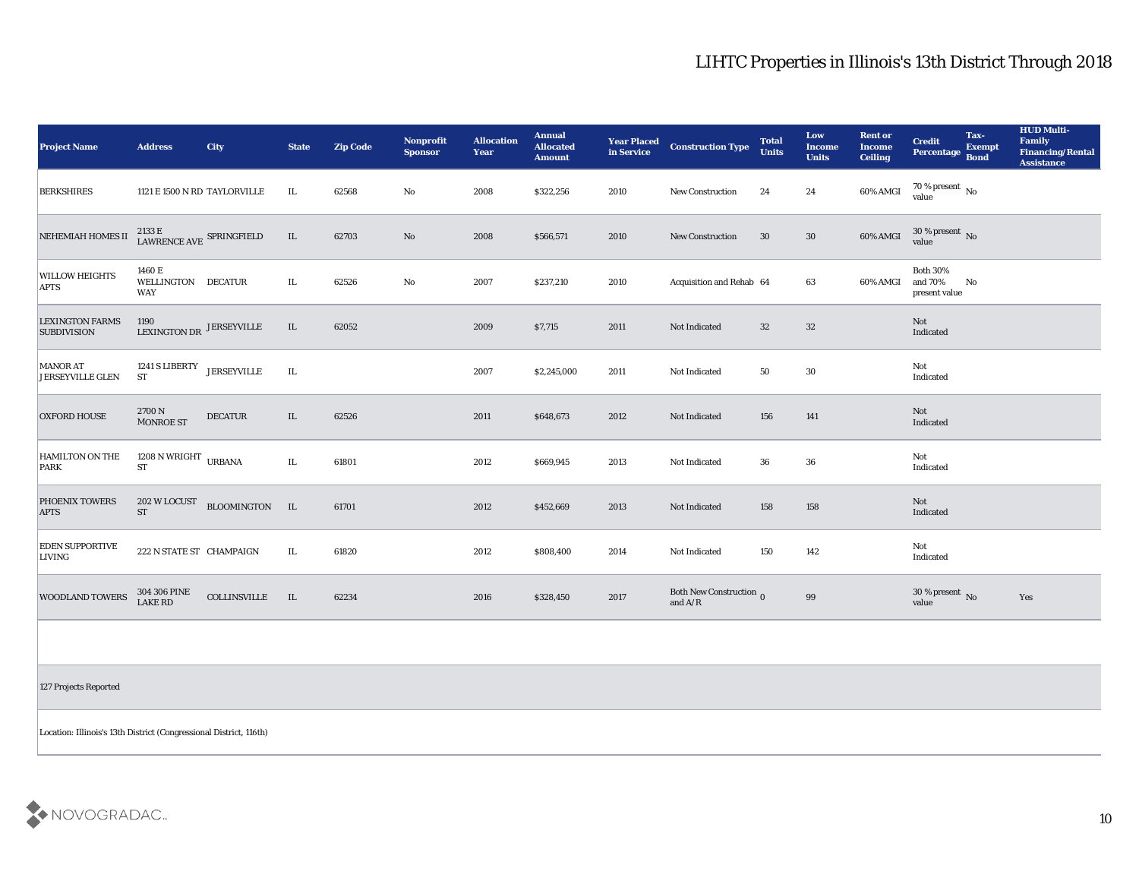| <b>Project Name</b>                          | <b>Address</b>                                       | <b>City</b>        | <b>State</b> | <b>Zip Code</b> | Nonprofit<br><b>Sponsor</b> | <b>Allocation</b><br><b>Year</b> | <b>Annual</b><br><b>Allocated</b><br><b>Amount</b> | <b>Year Placed<br/>in Service</b> | <b>Construction Type</b>                    | <b>Total</b><br><b>Units</b> | Low<br><b>Income</b><br><b>Units</b> | <b>Rent or</b><br><b>Income</b><br><b>Ceiling</b> | <b>Credit</b><br>Percentage                 | Tax-<br><b>Exempt</b><br><b>Bond</b> | <b>HUD Multi-</b><br>Family<br><b>Financing/Rental</b><br><b>Assistance</b> |
|----------------------------------------------|------------------------------------------------------|--------------------|--------------|-----------------|-----------------------------|----------------------------------|----------------------------------------------------|-----------------------------------|---------------------------------------------|------------------------------|--------------------------------------|---------------------------------------------------|---------------------------------------------|--------------------------------------|-----------------------------------------------------------------------------|
| <b>BERKSHIRES</b>                            | 1121 E 1500 N RD TAYLORVILLE                         |                    | IL           | 62568           | No                          | 2008                             | \$322,256                                          | 2010                              | <b>New Construction</b>                     | 24                           | 24                                   | 60% AMGI                                          | $70\,\%$ present $\,$ No value              |                                      |                                                                             |
| NEHEMIAH HOMES II                            | $2133$ E $$\sf{LRINGF}$ LAWRENCE AVE $$\sf{SPRINGF}$ |                    | $\rm IL$     | 62703           | $\mathbf{N}\mathbf{o}$      | 2008                             | \$566,571                                          | 2010                              | <b>New Construction</b>                     | 30                           | 30                                   | 60% AMGI                                          | $30\,\%$ present $\,$ No value              |                                      |                                                                             |
| <b>WILLOW HEIGHTS</b><br><b>APTS</b>         | 1460 E<br>WELLINGTON DECATUR<br><b>WAY</b>           |                    | IL           | 62526           | No                          | 2007                             | \$237,210                                          | 2010                              | Acquisition and Rehab 64                    |                              | 63                                   | 60% AMGI                                          | <b>Both 30%</b><br>and 70%<br>present value | No                                   |                                                                             |
| <b>LEXINGTON FARMS</b><br><b>SUBDIVISION</b> | 1190<br>LEXINGTON DR JERSEYVILLE                     |                    | $\rm IL$     | 62052           |                             | 2009                             | \$7,715                                            | 2011                              | Not Indicated                               | 32                           | 32                                   |                                                   | Not<br>Indicated                            |                                      |                                                                             |
| <b>MANOR AT</b><br><b>JERSEYVILLE GLEN</b>   | 1241 S LIBERTY<br><b>ST</b>                          | <b>JERSEYVILLE</b> | IL           |                 |                             | 2007                             | \$2,245,000                                        | 2011                              | Not Indicated                               | 50                           | 30                                   |                                                   | Not<br>Indicated                            |                                      |                                                                             |
| <b>OXFORD HOUSE</b>                          | 2700 N<br>MONROE ST                                  | <b>DECATUR</b>     | IL           | 62526           |                             | 2011                             | \$648,673                                          | 2012                              | Not Indicated                               | 156                          | 141                                  |                                                   | Not<br>Indicated                            |                                      |                                                                             |
| <b>HAMILTON ON THE</b><br>PARK               | 1208 N WRIGHT $\,$ URBANA<br>ST                      |                    | $\rm IL$     | 61801           |                             | 2012                             | \$669,945                                          | 2013                              | Not Indicated                               | 36                           | 36                                   |                                                   | Not<br>Indicated                            |                                      |                                                                             |
| <b>PHOENIX TOWERS</b><br><b>APTS</b>         | 202 W LOCUST<br><b>ST</b>                            | BLOOMINGTON IL     |              | 61701           |                             | 2012                             | \$452,669                                          | 2013                              | Not Indicated                               | 158                          | 158                                  |                                                   | Not<br>Indicated                            |                                      |                                                                             |
| <b>EDEN SUPPORTIVE</b><br><b>LIVING</b>      | 222 N STATE ST CHAMPAIGN                             |                    | IL           | 61820           |                             | 2012                             | \$808,400                                          | 2014                              | Not Indicated                               | 150                          | 142                                  |                                                   | Not<br>Indicated                            |                                      |                                                                             |
| <b>WOODLAND TOWERS</b>                       | 304 306 PINE<br><b>LAKE RD</b>                       | COLLINSVILLE       | IL.          | 62234           |                             | 2016                             | \$328,450                                          | 2017                              | Both New Construction $_0$<br>and $\rm A/R$ |                              | 99                                   |                                                   | $30\,\%$ present $\,$ No value              |                                      | Yes                                                                         |

127 Projects Reported

Location: Illinois's 13th District (Congressional District, 116th)